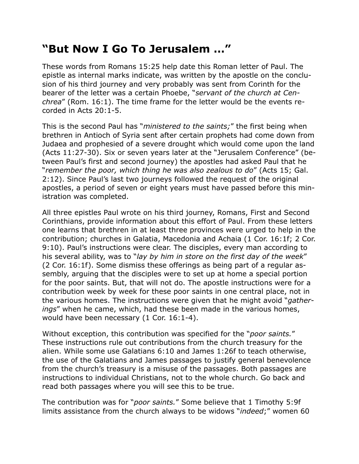## **"But Now I Go To Jerusalem …"**

These words from Romans 15:25 help date this Roman letter of Paul. The epistle as internal marks indicate, was written by the apostle on the conclusion of his third journey and very probably was sent from Corinth for the bearer of the letter was a certain Phoebe, "*servant of the church at Cenchrea*" (Rom. 16:1). The time frame for the letter would be the events recorded in Acts 20:1-5.

This is the second Paul has "*ministered to the saints;*" the first being when brethren in Antioch of Syria sent after certain prophets had come down from Judaea and prophesied of a severe drought which would come upon the land (Acts 11:27-30). Six or seven years later at the "Jerusalem Conference" (between Paul's first and second journey) the apostles had asked Paul that he "*remember the poor, which thing he was also zealous to do*" (Acts 15; Gal. 2:12). Since Paul's last two journeys followed the request of the original apostles, a period of seven or eight years must have passed before this ministration was completed.

All three epistles Paul wrote on his third journey, Romans, First and Second Corinthians, provide information about this effort of Paul. From these letters one learns that brethren in at least three provinces were urged to help in the contribution; churches in Galatia, Macedonia and Achaia (1 Cor. 16:1f; 2 Cor. 9:10). Paul's instructions were clear. The disciples, every man according to his several ability, was to "*lay by him in store on the first day of the week*" (2 Cor. 16:1f). Some dismiss these offerings as being part of a regular assembly, arguing that the disciples were to set up at home a special portion for the poor saints. But, that will not do. The apostle instructions were for a contribution week by week for these poor saints in one central place, not in the various homes. The instructions were given that he might avoid "*gatherings*" when he came, which, had these been made in the various homes, would have been necessary (1 Cor. 16:1-4).

Without exception, this contribution was specified for the "*poor saints.*" These instructions rule out contributions from the church treasury for the alien. While some use Galatians 6:10 and James 1:26f to teach otherwise, the use of the Galatians and James passages to justify general benevolence from the church's treasury is a misuse of the passages. Both passages are instructions to individual Christians, not to the whole church. Go back and read both passages where you will see this to be true.

The contribution was for "*poor saints.*" Some believe that 1 Timothy 5:9f limits assistance from the church always to be widows "*indeed*;" women 60